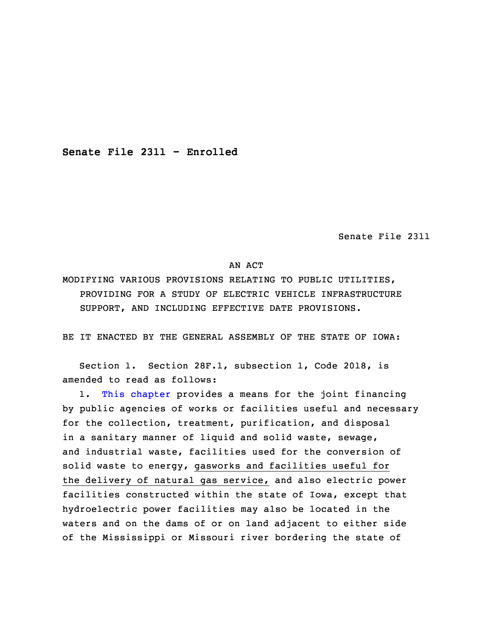**Senate File 2311 - Enrolled**

Senate File 2311

## AN ACT

MODIFYING VARIOUS PROVISIONS RELATING TO PUBLIC UTILITIES, PROVIDING FOR A STUDY OF ELECTRIC VEHICLE INFRASTRUCTURE SUPPORT, AND INCLUDING EFFECTIVE DATE PROVISIONS.

BE IT ENACTED BY THE GENERAL ASSEMBLY OF THE STATE OF IOWA:

 Section 1. Section 28F.1, subsection 1, Code 2018, is amended to read as follows:

1. This [chapter](https://www.legis.iowa.gov/docs/code/2018/28F.pdf) provides a means for the joint financing by public agencies of works or facilities useful and necessary 5 for the collection, treatment, purification, and disposal in a sanitary manner of liquid and solid waste, sewage, and industrial waste, facilities used for the conversion of solid waste to energy, gasworks and facilities useful for the delivery of natural gas service, and also electric power facilities constructed within the state of Iowa, except that hydroelectric power facilities may also be located in the waters and on the dams of or on land adjacent to either side of the Mississippi or Missouri river bordering the state of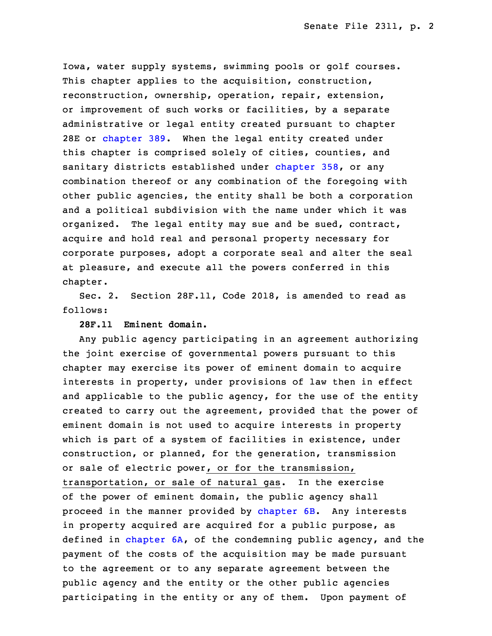Iowa, water supply systems, swimming pools or golf courses. This chapter applies to the acquisition, construction, reconstruction, ownership, operation, repair, extension, or improvement of such works or facilities, by a separate administrative or legal entity created pursuant to chapter 28E or [chapter](https://www.legis.iowa.gov/docs/code/2018/389.pdf) 389. When the legal entity created under this chapter is comprised solely of cities, counties, and sanitary districts established under [chapter](https://www.legis.iowa.gov/docs/code/2018/358.pdf) 358, or any combination thereof or any combination of the foregoing with other public agencies, the entity shall be both a corporation and <sup>a</sup> political subdivision with the name under which it was organized. The legal entity may sue and be sued, contract, acquire and hold real and personal property necessary for corporate purposes, adopt a corporate seal and alter the seal at pleasure, and execute all the powers conferred in this chapter.

Sec. 2. Section 28F.11, Code 2018, is amended to read as follows:

32 **28F.11 Eminent domain.**

Any public agency participating in an agreement authorizing the joint exercise of governmental powers pursuant to this chapter may exercise its power of eminent domain to acquire interests in property, under provisions of law then in effect and applicable to the public agency, for the use of the entity created to carry out the agreement, provided that the power of eminent domain is not used to acquire interests in property which is part of a system of facilities in existence, under construction, or planned, for the generation, transmission or sale of electric power, or for the transmission, transportation, or sale of natural gas. In the exercise of the power of eminent domain, the public agency shall proceed in the manner provided by [chapter](https://www.legis.iowa.gov/docs/code/2018/6B.pdf) 6B. Any interests in property acquired are acquired for <sup>a</sup> public purpose, as defined in [chapter](https://www.legis.iowa.gov/docs/code/2018/6A.pdf) 6A, of the condemning public agency, and the payment of the costs of the acquisition may be made pursuant to the agreement or to any separate agreement between the public agency and the entity or the other public agencies participating in the entity or any of them. Upon payment of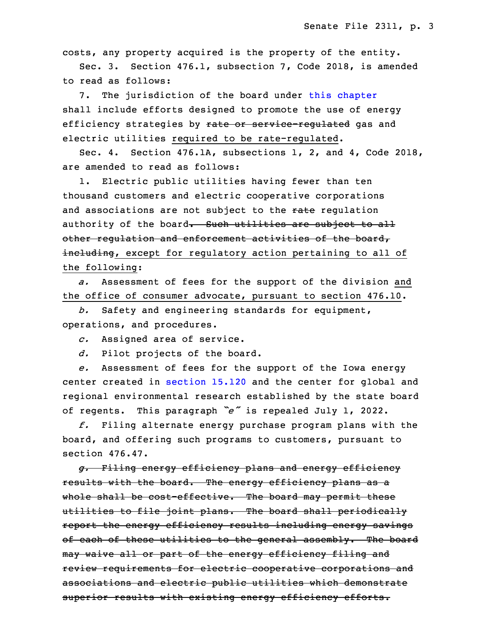costs, any property acquired is the property of the entity.

Sec. 3. Section 476.1, subsection 7, Code 2018, is amended to read as follows:

7. The jurisdiction of the board under this [chapter](https://www.legis.iowa.gov/docs/code/2018/476.pdf) shall include efforts designed to promote the use of energy efficiency strategies by rate or service-regulated gas and electric utilities required to be rate-requlated.

 Sec. 4. Section 476.1A, subsections 1, 2, and 4, Code 2018, are amended to read as follows:

1. Electric public utilities having fewer than ten 27 thousand customers and electric cooperative corporations and associations are not subject to the rate regulation authority of the board. Such utilities are subject to all other regulation and enforcement activities of the board, including, except for regulatory action pertaining to all of the following:

33 *a.* Assessment of fees for the support of the division and the office of consumer advocate, pursuant to section 476.10.

b. Safety and engineering standards for equipment, operations, and procedures.

*c.* Assigned area of service.

d. Pilot projects of the board.

 *e.* Assessment of fees for the support of the Iowa energy center created in [section](https://www.legis.iowa.gov/docs/code/2018/15.120.pdf) 15.120 and the center for global and regional environmental research established by the state board <sup>7</sup> of regents. This paragraph *"e"* is repealed July 1, 2022.

8 *f.* Filing alternate energy purchase program plans with the board, and offering such programs to customers, pursuant to section 476.47.

 *g.* Filing energy efficiency plans and energy efficiency results with the board. The energy efficiency plans as <sup>a</sup> whole shall be cost-effective. The board may permit these utilities to file joint plans. The board shall periodically report the energy efficiency results including energy savings of each of these utilities to the general assembly. The board may waive all or part of the energy efficiency filing and review requirements for electric cooperative corporations and associations and electric public utilities which demonstrate superior results with existing energy efficiency efforts.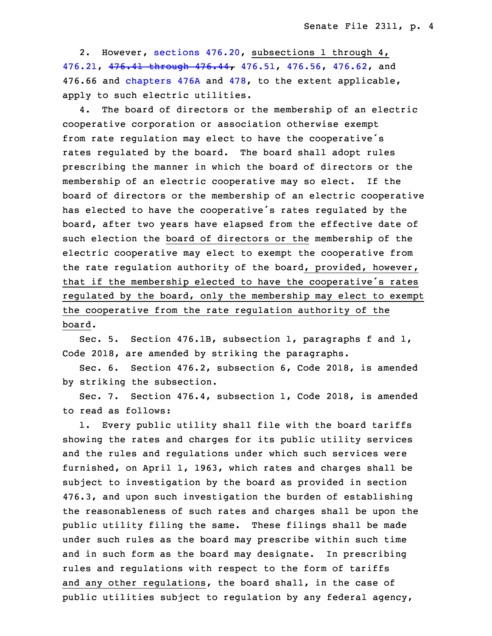2. However, [sections](https://www.legis.iowa.gov/docs/code/2018/476.20.pdf) 476.20, subsections 1 through 4, [476.21](https://www.legis.iowa.gov/docs/code/2018/476.21.pdf), 476.41 [through](https://www.legis.iowa.gov/docs/code/2018/476.41.pdf) 476.44, [476.51](https://www.legis.iowa.gov/docs/code/2018/476.51.pdf), [476.56](https://www.legis.iowa.gov/docs/code/2018/476.56.pdf), [476.62](https://www.legis.iowa.gov/docs/code/2018/476.62.pdf), and 476.66 and [chapters](https://www.legis.iowa.gov/docs/code/2018/476A.pdf)  $476A$  and  $478$ , to the extent applicable, apply to such electric utilities.

4. The board of directors or the membership of an electric 26 cooperative corporation or association otherwise exempt from rate regulation may elect to have the cooperative's rates regulated by the board. The board shall adopt rules prescribing the manner in which the board of directors or the membership of an electric cooperative may so elect. If the board of directors or the membership of an electric cooperative has elected to have the cooperative's rates regulated by the board, after two years have elapsed from the effective date of such election the board of directors or the membership of the electric cooperative may elect to exempt the cooperative from the rate regulation authority of the board, provided, however, that if the membership elected to have the cooperative's rates regulated by the board, only the membership may elect to exempt the cooperative from the rate regulation authority of the board.

6 Sec. 5. Section 476.1B, subsection 1, paragraphs f and l, Code 2018, are amended by striking the paragraphs.

Sec. 6. Section 476.2, subsection 6, Code 2018, is amended by striking the subsection.

Sec. 7. Section 476.4, subsection 1, Code 2018, is amended to read as follows:

 1. Every public utility shall file with the board tariffs showing the rates and charges for its public utility services and the rules and regulations under which such services were furnished, on April 1, 1963, which rates and charges shall be subject to investigation by the board as provided in section 17 476.3, and upon such investigation the burden of establishing the reasonableness of such rates and charges shall be upon the public utility filing the same. These filings shall be made under such rules as the board may prescribe within such time and in such form as the board may designate. In prescribing rules and regulations with respect to the form of tariffs and any other regulations, the board shall, in the case of public utilities subject to regulation by any federal agency,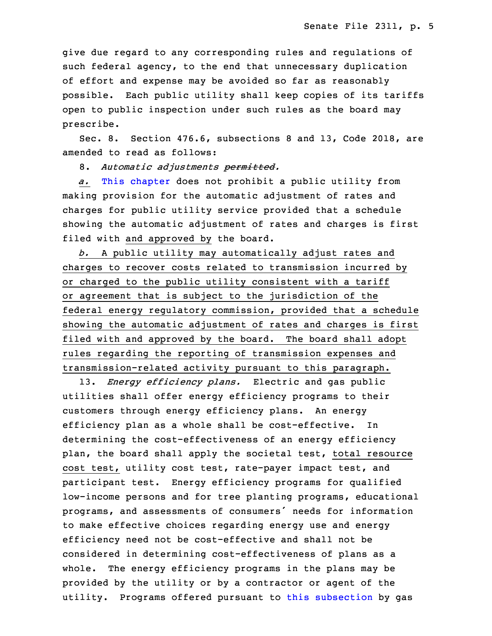give due regard to any corresponding rules and regulations of such federal agency, to the end that unnecessary duplication of effort and expense may be avoided so far as reasonably possible. Each public utility shall keep copies of its tariffs open to public inspection under such rules as the board may prescribe.

Sec. 8. Section 476.6, subsections 8 and 13, Code 2018, are amended to read as follows:

33 8. *Automatic adjustments permitted.*

34 *a.* This [chapter](https://www.legis.iowa.gov/docs/code/2018/476.pdf) does not prohibit <sup>a</sup> public utility from making provision for the automatic adjustment of rates and charges for public utility service provided that <sup>a</sup> schedule showing the automatic adjustment of rates and charges is first filed with and approved by the board.

 *b.* <sup>A</sup> public utility may automatically adjust rates and charges to recover costs related to transmission incurred by or charged to the public utility consistent with a tariff or agreement that is subject to the jurisdiction of the federal energy regulatory commission, provided that a schedule showing the automatic adjustment of rates and charges is first filed with and approved by the board. The board shall adopt rules regarding the reporting of transmission expenses and transmission-related activity pursuant to this paragraph.

13 13. *Energy efficiency plans.* Electric and gas public utilities shall offer energy efficiency programs to their customers through energy efficiency plans. An energy efficiency plan as a whole shall be cost-effective. In determining the cost-effectiveness of an energy efficiency plan, the board shall apply the societal test, total resource cost test, utility cost test, rate-payer impact test, and participant test. Energy efficiency programs for qualified low-income persons and for tree planting programs, educational programs, and assessments of consumers' needs for information to make effective choices regarding energy use and energy efficiency need not be cost-effective and shall not be considered in determining cost-effectiveness of plans as a whole. The energy efficiency programs in the plans may be provided by the utility or by a contractor or agent of the utility. Programs offered pursuant to this [subsection](https://www.legis.iowa.gov/docs/code/2018/476.6.pdf) by gas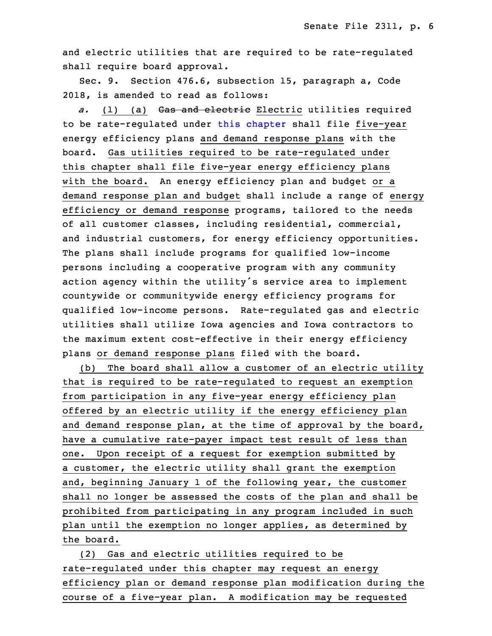and electric utilities that are required to be rate-regulated shall require board approval.

Sec. 9. Section 476.6, subsection 15, paragraph a, Code 32 2018, is amended to read as follows:

a. (1) (a) Gas and electric Electric utilities required to be rate-regulated under this [chapter](https://www.legis.iowa.gov/docs/code/2018/476.pdf) shall file five-year energy efficiency plans and demand response plans with the board. Gas utilities required to be rate-regulated under this chapter shall file five-year energy efficiency plans with the board. An energy efficiency plan and budget or a demand response plan and budget shall include <sup>a</sup> range of energy efficiency or demand response programs, tailored to the needs of all customer classes, including residential, commercial, and industrial customers, for energy efficiency opportunities. The plans shall include programs for qualified low-income 9 persons including <sup>a</sup> cooperative program with any community action agency within the utility's service area to implement countywide or communitywide energy efficiency programs for qualified low-income persons. Rate-regulated gas and electric utilities shall utilize Iowa agencies and Iowa contractors to the maximum extent cost-effective in their energy efficiency plans or demand response plans filed with the board.

(b) The board shall allow a customer of an electric utility that is required to be rate-regulated to request an exemption from participation in any five-year energy efficiency plan offered by an electric utility if the energy efficiency plan and demand response plan, at the time of approval by the board, have <sup>a</sup> cumulative rate-payer impact test result of less than one. Upon receipt of <sup>a</sup> request for exemption submitted by a customer, the electric utility shall grant the exemption and, beginning January 1 of the following year, the customer shall no longer be assessed the costs of the plan and shall be prohibited from participating in any program included in such plan until the exemption no longer applies, as determined by the board.

29 (2) Gas and electric utilities required to be rate-regulated under this chapter may request an energy efficiency plan or demand response plan modification during the course of a five-year plan. A modification may be requested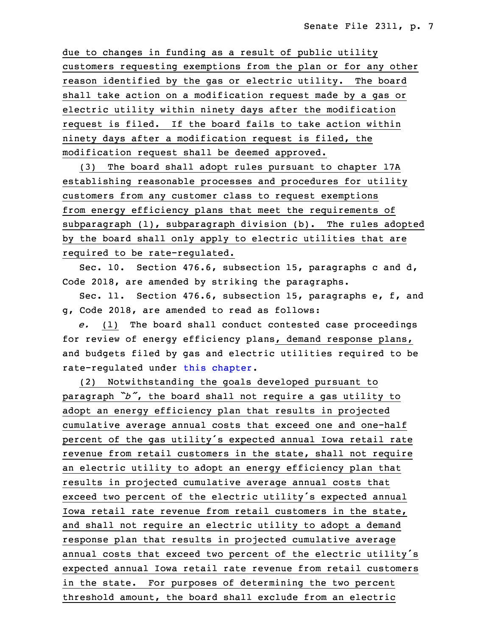due to changes in funding as a result of public utility customers requesting exemptions from the plan or for any other reason identified by the gas or electric utility. The board shall take action on <sup>a</sup> modification request made by <sup>a</sup> gas or electric utility within ninety days after the modification request is filed. If the board fails to take action within ninety days after <sup>a</sup> modification request is filed, the modification request shall be deemed approved.

6 (3) The board shall adopt rules pursuant to chapter 17A establishing reasonable processes and procedures for utility customers from any customer class to request exemptions from energy efficiency plans that meet the requirements of subparagraph (1), subparagraph division (b). The rules adopted by the board shall only apply to electric utilities that are required to be rate-regulated.

Sec. 10. Section 476.6, subsection 15, paragraphs c and d, Code 2018, are amended by striking the paragraphs.

Sec. 11. Section 476.6, subsection 15, paragraphs e, f, and g, Code 2018, are amended to read as follows:

e. (1) The board shall conduct contested case proceedings for review of energy efficiency plans, demand response plans, and budgets filed by gas and electric utilities required to be rate-regulated under this [chapter](https://www.legis.iowa.gov/docs/code/2018/476.pdf).

 (2) Notwithstanding the goals developed pursuant to paragraph *"b"*, the board shall not require <sup>a</sup> gas utility to adopt an energy efficiency plan that results in projected cumulative average annual costs that exceed one and one-half percent of the gas utility's expected annual Iowa retail rate revenue from retail customers in the state, shall not require an electric utility to adopt an energy efficiency plan that results in projected cumulative average annual costs that exceed two percent of the electric utility's expected annual Iowa retail rate revenue from retail customers in the state, and shall not require an electric utility to adopt a demand response plan that results in projected cumulative average annual costs that exceed two percent of the electric utility's expected annual Iowa retail rate revenue from retail customers in the state. For purposes of determining the two percent threshold amount, the board shall exclude from an electric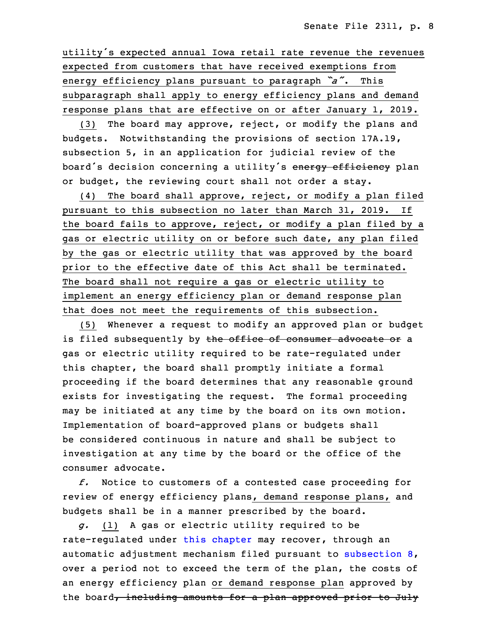utility's expected annual Iowa retail rate revenue the revenues expected from customers that have received exemptions from energy efficiency plans pursuant to paragraph *"a"*. This subparagraph shall apply to energy efficiency plans and demand response plans that are effective on or after January 1, 2019.

(3) The board may approve, reject, or modify the plans and budgets. Notwithstanding the provisions of section  $17A.19$ , subsection 5, in an application for judicial review of the board's decision concerning a utility's energy efficiency plan or budget, the reviewing court shall not order <sup>a</sup> stay.

 (4) The board shall approve, reject, or modify <sup>a</sup> plan filed pursuant to this subsection no later than March 31, 2019. If the board fails to approve, reject, or modify <sup>a</sup> plan filed by <sup>a</sup> gas or electric utility on or before such date, any plan filed by the gas or electric utility that was approved by the board prior to the effective date of this Act shall be terminated. The board shall not require a gas or electric utility to implement an energy efficiency plan or demand response plan that does not meet the requirements of this subsection.

 (5) Whenever <sup>a</sup> request to modify an approved plan or budget is filed subsequently by the office of consumer advocate or a gas or electric utility required to be rate-regulated under this chapter, the board shall promptly initiate <sup>a</sup> formal proceeding if the board determines that any reasonable ground exists for investigating the request. The formal proceeding may be initiated at any time by the board on its own motion. Implementation of board-approved plans or budgets shall be considered continuous in nature and shall be subject to investigation at any time by the board or the office of the consumer advocate.

32 *f.* Notice to customers of <sup>a</sup> contested case proceeding for review of energy efficiency plans, demand response plans, and budgets shall be in a manner prescribed by the board.

35 *g.* (1) <sup>A</sup> gas or electric utility required to be rate-regulated under this [chapter](https://www.legis.iowa.gov/docs/code/2018/476.pdf) may recover, through an automatic adjustment mechanism filed pursuant to [subsection](https://www.legis.iowa.gov/docs/code/2018/476.6.pdf) 8, over a period not to exceed the term of the plan, the costs of an energy efficiency plan or demand response plan approved by the board, including amounts for a plan approved prior to July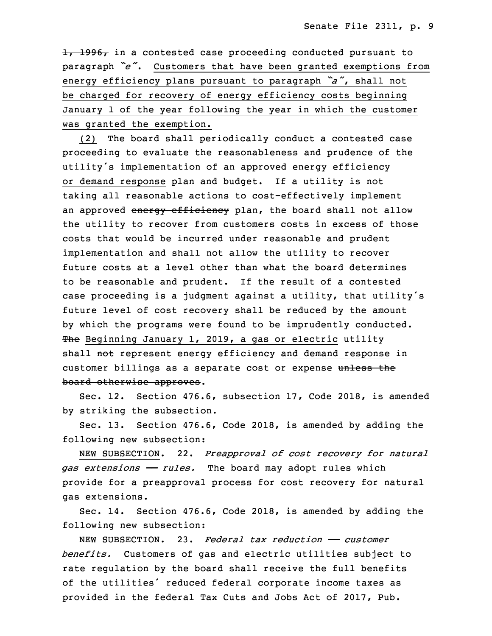1, 1996, in a contested case proceeding conducted pursuant to paragraph "e". Customers that have been granted exemptions from <sup>8</sup> energy efficiency plans pursuant to paragraph *"a"*, shall not be charged for recovery of energy efficiency costs beginning January 1 of the year following the year in which the customer was granted the exemption.

 (2) The board shall periodically conduct <sup>a</sup> contested case proceeding to evaluate the reasonableness and prudence of the utility's implementation of an approved energy efficiency or demand response plan and budget. If a utility is not taking all reasonable actions to cost-effectively implement an approved energy efficiency plan, the board shall not allow the utility to recover from customers costs in excess of those costs that would be incurred under reasonable and prudent implementation and shall not allow the utility to recover future costs at <sup>a</sup> level other than what the board determines to be reasonable and prudent. If the result of <sup>a</sup> contested case proceeding is a judgment against a utility, that utility's future level of cost recovery shall be reduced by the amount by which the programs were found to be imprudently conducted. The Beginning January 1, 2019, a gas or electric utility shall not represent energy efficiency and demand response in customer billings as a separate cost or expense unless the board otherwise approves.

Sec. 12. Section 476.6, subsection 17, Code 2018, is amended by striking the subsection.

Sec. 13. Section 476.6, Code 2018, is amended by adding the following new subsection:

34 NEW SUBSECTION. 22. *Preapproval of cost recovery for natural* 35 *gas extensions —— rules.* The board may adopt rules which provide for <sup>a</sup> preapproval process for cost recovery for natural gas extensions.

Sec. 14. Section 476.6, Code 2018, is amended by adding the following new subsection:

5 NEW SUBSECTION. 23. *Federal tax reduction —— customer* 6 *benefits.* Customers of gas and electric utilities subject to rate regulation by the board shall receive the full benefits of the utilities' reduced federal corporate income taxes as 9 provided in the federal Tax Cuts and Jobs Act of 2017, Pub.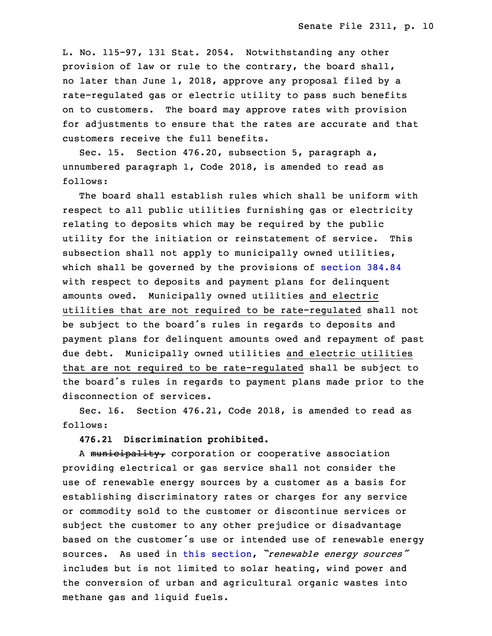L. No. 115-97, 131 Stat. 2054. Notwithstanding any other provision of law or rule to the contrary, the board shall, no later than June 1, 2018, approve any proposal filed by <sup>a</sup> rate-regulated gas or electric utility to pass such benefits on to customers. The board may approve rates with provision for adjustments to ensure that the rates are accurate and that customers receive the full benefits.

Sec. 15. Section 476.20, subsection 5, paragraph a, unnumbered paragraph  $1$ , Code 2018, is amended to read as follows:

The board shall establish rules which shall be uniform with respect to all public utilities furnishing gas or electricity relating to deposits which may be required by the public utility for the initiation or reinstatement of service. This subsection shall not apply to municipally owned utilities, which shall be governed by the provisions of [section](https://www.legis.iowa.gov/docs/code/2018/384.84.pdf) 384.84 with respect to deposits and payment plans for delinquent amounts owed. Municipally owned utilities and electric utilities that are not required to be rate-regulated shall not be subject to the board's rules in regards to deposits and payment plans for delinquent amounts owed and repayment of past due debt. Municipally owned utilities and electric utilities that are not required to be rate-requlated shall be subject to the board's rules in regards to payment plans made prior to the disconnection of services.

Sec. 16. Section 476.21, Code 2018, is amended to read as follows:

## **476.21 Discrimination prohibited.**

A municipality, corporation or cooperative association providing electrical or gas service shall not consider the use of renewable energy sources by a customer as a basis for establishing discriminatory rates or charges for any service 7 or commodity sold to the customer or discontinue services or subject the customer to any other prejudice or disadvantage based on the customer's use or intended use of renewable energy <sup>10</sup> sources. As used in this [section](https://www.legis.iowa.gov/docs/code/2018/476.21.pdf), *"renewable energy sources"* includes but is not limited to solar heating, wind power and the conversion of urban and agricultural organic wastes into methane gas and liquid fuels.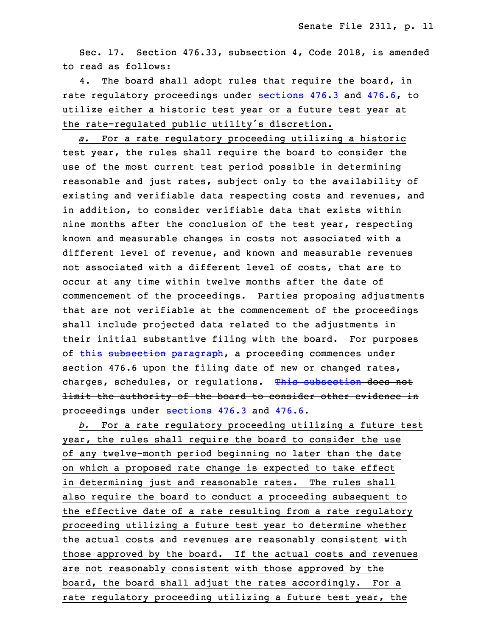Sec. 17. Section 476.33, subsection 4, Code 2018, is amended to read as follows:

4. The board shall adopt rules that require the board, in rate regulatory proceedings under [sections](https://www.legis.iowa.gov/docs/code/2018/476.3.pdf) 476.3 and [476.6](https://www.legis.iowa.gov/docs/code/2018/476.6.pdf), to utilize either a historic test year or a future test year at the rate-regulated public utility's discretion.

a. For a rate regulatory proceeding utilizing a historic test year, the rules shall require the board to consider the use of the most current test period possible in determining reasonable and just rates, subject only to the availability of existing and verifiable data respecting costs and revenues, and in addition, to consider verifiable data that exists within nine months after the conclusion of the test year, respecting known and measurable changes in costs not associated with a different level of revenue, and known and measurable revenues not associated with a different level of costs, that are to occur at any time within twelve months after the date of commencement of the proceedings. Parties proposing adjustments that are not verifiable at the commencement of the proceedings shall include projected data related to the adjustments in their initial substantive filing with the board. For purposes of this subsection [paragraph](https://www.legis.iowa.gov/docs/code/2018/476.33.pdf), a proceeding commences under section 476.6 upon the filing date of new or changed rates, charges, schedules, or regulations. This [subsection](https://www.legis.iowa.gov/docs/code/2018/476.33.pdf) does not limit the authority of the board to consider other evidence in proceedings under [sections](https://www.legis.iowa.gov/docs/code/2018/476.3.pdf) 476.3 and [476.6](https://www.legis.iowa.gov/docs/code/2018/476.6.pdf).

5 *b.* For <sup>a</sup> rate regulatory proceeding utilizing <sup>a</sup> future test year, the rules shall require the board to consider the use of any twelve-month period beginning no later than the date on which a proposed rate change is expected to take effect in determining just and reasonable rates. The rules shall also require the board to conduct a proceeding subsequent to the effective date of <sup>a</sup> rate resulting from <sup>a</sup> rate regulatory proceeding utilizing <sup>a</sup> future test year to determine whether the actual costs and revenues are reasonably consistent with those approved by the board. If the actual costs and revenues are not reasonably consistent with those approved by the board, the board shall adjust the rates accordingly. For a rate regulatory proceeding utilizing a future test year, the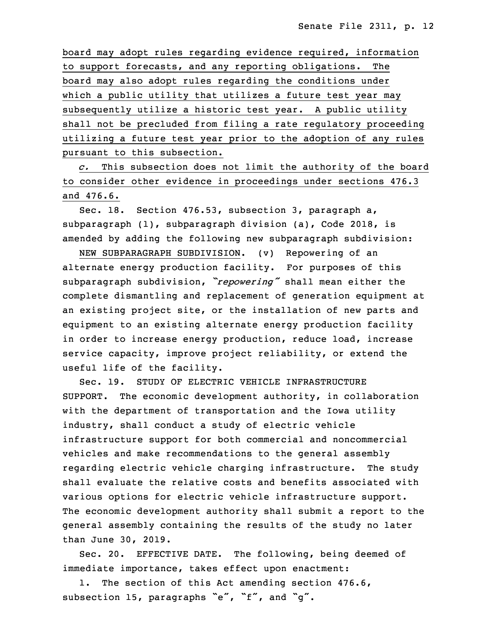board may adopt rules regarding evidence required, information to support forecasts, and any reporting obligations. The board may also adopt rules regarding the conditions under which <sup>a</sup> public utility that utilizes <sup>a</sup> future test year may subsequently utilize <sup>a</sup> historic test year. <sup>A</sup> public utility shall not be precluded from filing a rate regulatory proceeding utilizing <sup>a</sup> future test year prior to the adoption of any rules pursuant to this subsection.

26 *c.* This subsection does not limit the authority of the board to consider other evidence in proceedings under sections 476.3 and  $476.6.$ 

Sec. 18. Section 476.53, subsection 3, paragraph a, subparagraph  $(1)$ , subparagraph division  $(a)$ , Code 2018, is amended by adding the following new subparagraph subdivision:

NEW SUBPARAGRAPH SUBDIVISION. (v) Repowering of an alternate energy production facility. For purposes of this subparagraph subdivision, "*repowering"* shall mean either the complete dismantling and replacement of generation equipment at an existing project site, or the installation of new parts and equipment to an existing alternate energy production facility in order to increase energy production, reduce load, increase service capacity, improve project reliability, or extend the useful life of the facility.

6 Sec. 19. STUDY OF ELECTRIC VEHICLE INFRASTRUCTURE SUPPORT. The economic development authority, in collaboration with the department of transportation and the Iowa utility industry, shall conduct a study of electric vehicle infrastructure support for both commercial and noncommercial vehicles and make recommendations to the general assembly regarding electric vehicle charging infrastructure. The study shall evaluate the relative costs and benefits associated with various options for electric vehicle infrastructure support. The economic development authority shall submit a report to the general assembly containing the results of the study no later than June 30, 2019.

Sec. 20. EFFECTIVE DATE. The following, being deemed of immediate importance, takes effect upon enactment:

1. The section of this Act amending section 476.6, subsection 15, paragraphs "e", "f", and "g".